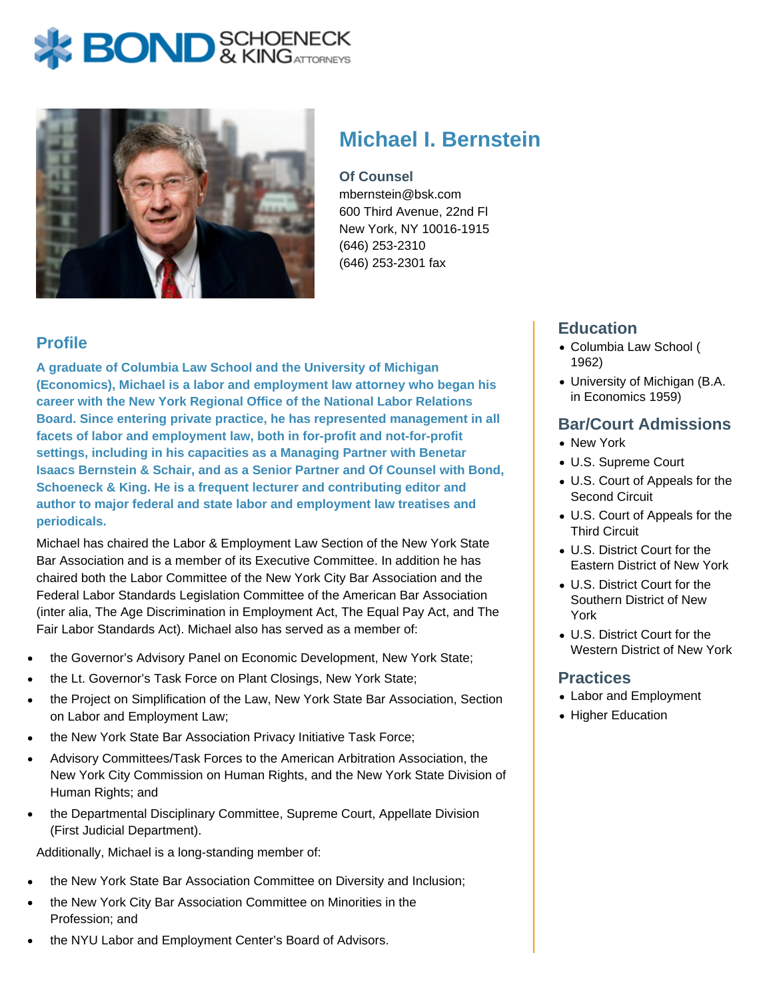# **BOND** & KINGATTORNECK



## **Michael I. Bernstein**

#### **Of Counsel**

mbernstein@bsk.com 600 Third Avenue, 22nd Fl New York, NY 10016-1915 (646) 253-2310 (646) 253-2301 fax

### **Profile**

**A graduate of Columbia Law School and the University of Michigan (Economics), Michael is a labor and employment law attorney who began his career with the New York Regional Office of the National Labor Relations Board. Since entering private practice, he has represented management in all facets of labor and employment law, both in for-profit and not-for-profit settings, including in his capacities as a Managing Partner with Benetar Isaacs Bernstein & Schair, and as a Senior Partner and Of Counsel with Bond, Schoeneck & King. He is a frequent lecturer and contributing editor and author to major federal and state labor and employment law treatises and periodicals.**

Michael has chaired the Labor & Employment Law Section of the New York State Bar Association and is a member of its Executive Committee. In addition he has chaired both the Labor Committee of the New York City Bar Association and the Federal Labor Standards Legislation Committee of the American Bar Association (inter alia, The Age Discrimination in Employment Act, The Equal Pay Act, and The Fair Labor Standards Act). Michael also has served as a member of:

- the Governor's Advisory Panel on Economic Development, New York State;
- the Lt. Governor's Task Force on Plant Closings, New York State;
- the Project on Simplification of the Law, New York State Bar Association, Section on Labor and Employment Law;
- the New York State Bar Association Privacy Initiative Task Force;
- Advisory Committees/Task Forces to the American Arbitration Association, the New York City Commission on Human Rights, and the New York State Division of Human Rights; and
- the Departmental Disciplinary Committee, Supreme Court, Appellate Division (First Judicial Department).

Additionally, Michael is a long-standing member of:

- the New York State Bar Association Committee on Diversity and Inclusion;
- the New York City Bar Association Committee on Minorities in the Profession; and
- the NYU Labor and Employment Center's Board of Advisors.

### **Education**

- Columbia Law School ( 1962)
- University of Michigan (B.A. in Economics 1959)

#### **Bar/Court Admissions**

- New York
- U.S. Supreme Court
- U.S. Court of Appeals for the Second Circuit
- U.S. Court of Appeals for the Third Circuit
- U.S. District Court for the Eastern District of New York
- U.S. District Court for the Southern District of New York
- U.S. District Court for the Western District of New York

#### **Practices**

- Labor and Employment
- Higher Education